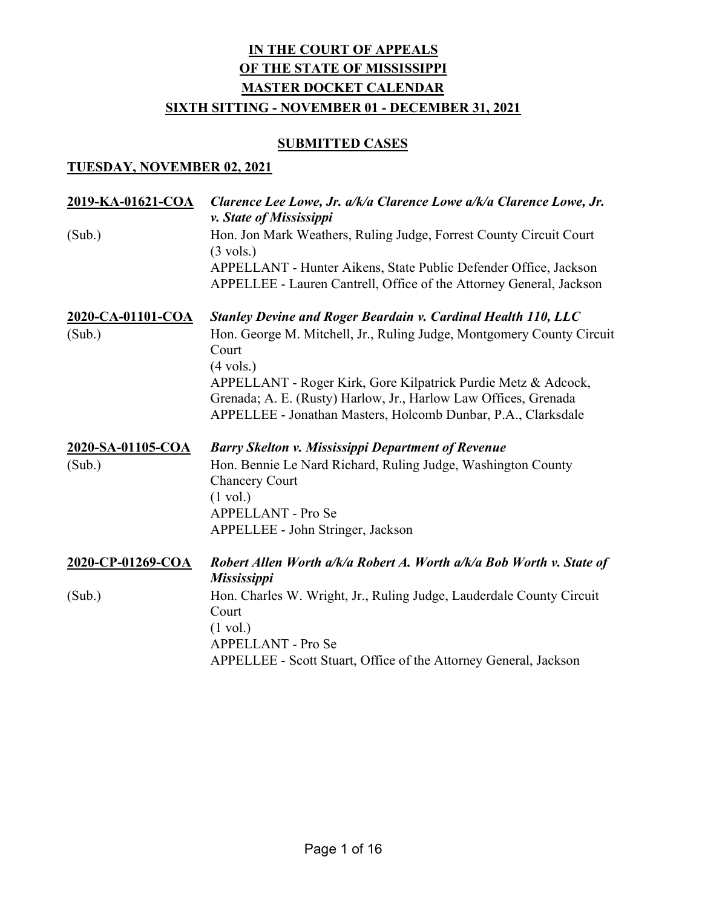#### **SUBMITTED CASES**

| <u>2019-KA-01621-COA</u> | Clarence Lee Lowe, Jr. a/k/a Clarence Lowe a/k/a Clarence Lowe, Jr.<br>v. State of Mississippi                                          |
|--------------------------|-----------------------------------------------------------------------------------------------------------------------------------------|
| (Sub.)                   | Hon. Jon Mark Weathers, Ruling Judge, Forrest County Circuit Court<br>$(3 \text{ vols.})$                                               |
|                          | APPELLANT - Hunter Aikens, State Public Defender Office, Jackson<br>APPELLEE - Lauren Cantrell, Office of the Attorney General, Jackson |
| 2020-CA-01101-COA        | <b>Stanley Devine and Roger Beardain v. Cardinal Health 110, LLC</b>                                                                    |
| (Sub.)                   | Hon. George M. Mitchell, Jr., Ruling Judge, Montgomery County Circuit<br>Court<br>$(4 \text{ vols.})$                                   |
|                          | APPELLANT - Roger Kirk, Gore Kilpatrick Purdie Metz & Adcock,<br>Grenada; A. E. (Rusty) Harlow, Jr., Harlow Law Offices, Grenada        |
|                          | APPELLEE - Jonathan Masters, Holcomb Dunbar, P.A., Clarksdale                                                                           |
| 2020-SA-01105-COA        | <b>Barry Skelton v. Mississippi Department of Revenue</b>                                                                               |
| (Sub.)                   | Hon. Bennie Le Nard Richard, Ruling Judge, Washington County                                                                            |
|                          | <b>Chancery Court</b>                                                                                                                   |
|                          | $(1 \text{ vol.})$                                                                                                                      |
|                          | APPELLANT - Pro Se<br>APPELLEE - John Stringer, Jackson                                                                                 |
| 2020-CP-01269-COA        | Robert Allen Worth a/k/a Robert A. Worth a/k/a Bob Worth v. State of<br><b>Mississippi</b>                                              |
| (Sub.)                   | Hon. Charles W. Wright, Jr., Ruling Judge, Lauderdale County Circuit                                                                    |
|                          | Court                                                                                                                                   |
|                          | $(1 \text{ vol.})$<br><b>APPELLANT - Pro Se</b>                                                                                         |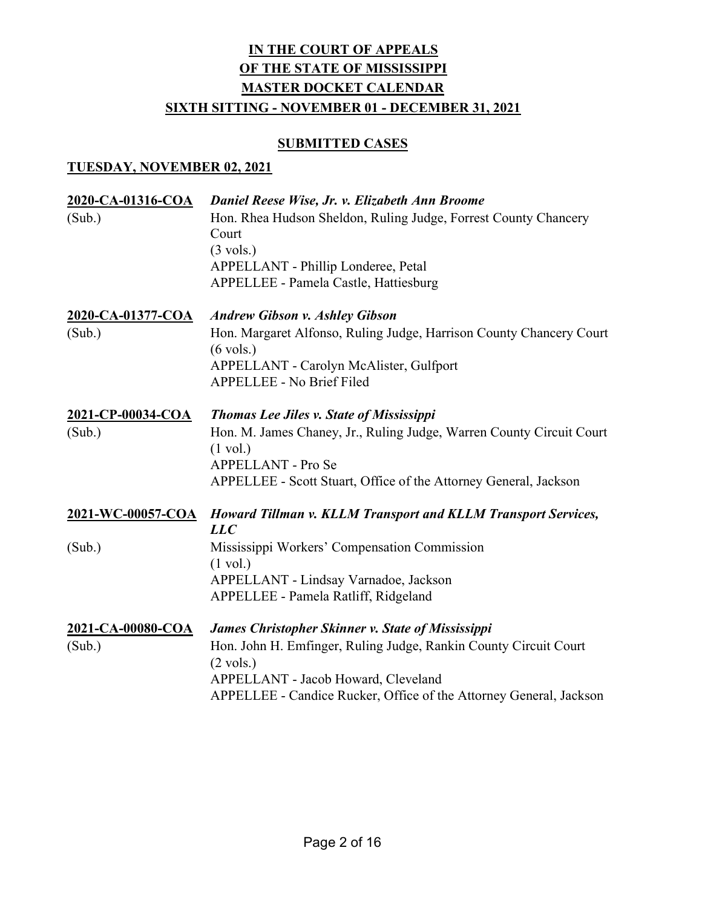#### **SUBMITTED CASES**

| 2020-CA-01316-COA<br>(Sub.) | Daniel Reese Wise, Jr. v. Elizabeth Ann Broome<br>Hon. Rhea Hudson Sheldon, Ruling Judge, Forrest County Chancery |
|-----------------------------|-------------------------------------------------------------------------------------------------------------------|
|                             | Court                                                                                                             |
|                             | $(3 \text{ vols.})$                                                                                               |
|                             | APPELLANT - Phillip Londeree, Petal                                                                               |
|                             | APPELLEE - Pamela Castle, Hattiesburg                                                                             |
| 2020-CA-01377-COA           | <b>Andrew Gibson v. Ashley Gibson</b>                                                                             |
| (Sub.)                      | Hon. Margaret Alfonso, Ruling Judge, Harrison County Chancery Court<br>$(6 \text{ vols.})$                        |
|                             | APPELLANT - Carolyn McAlister, Gulfport                                                                           |
|                             | APPELLEE - No Brief Filed                                                                                         |
| 2021-CP-00034-COA           | <b>Thomas Lee Jiles v. State of Mississippi</b>                                                                   |
| (Sub.)                      | Hon. M. James Chaney, Jr., Ruling Judge, Warren County Circuit Court                                              |
|                             | $(1 \text{ vol.})$                                                                                                |
|                             | APPELLANT - Pro Se                                                                                                |
|                             | APPELLEE - Scott Stuart, Office of the Attorney General, Jackson                                                  |
| 2021-WC-00057-COA           | Howard Tillman v. KLLM Transport and KLLM Transport Services,<br>LLC                                              |
| (Sub.)                      | Mississippi Workers' Compensation Commission                                                                      |
|                             | $(1 \text{ vol.})$                                                                                                |
|                             | APPELLANT - Lindsay Varnadoe, Jackson                                                                             |
|                             | APPELLEE - Pamela Ratliff, Ridgeland                                                                              |
| 2021-CA-00080-COA           | <b>James Christopher Skinner v. State of Mississippi</b>                                                          |
| (Sub.)                      | Hon. John H. Emfinger, Ruling Judge, Rankin County Circuit Court                                                  |
|                             | $(2 \text{ vols.})$                                                                                               |
|                             | APPELLANT - Jacob Howard, Cleveland                                                                               |
|                             | APPELLEE - Candice Rucker, Office of the Attorney General, Jackson                                                |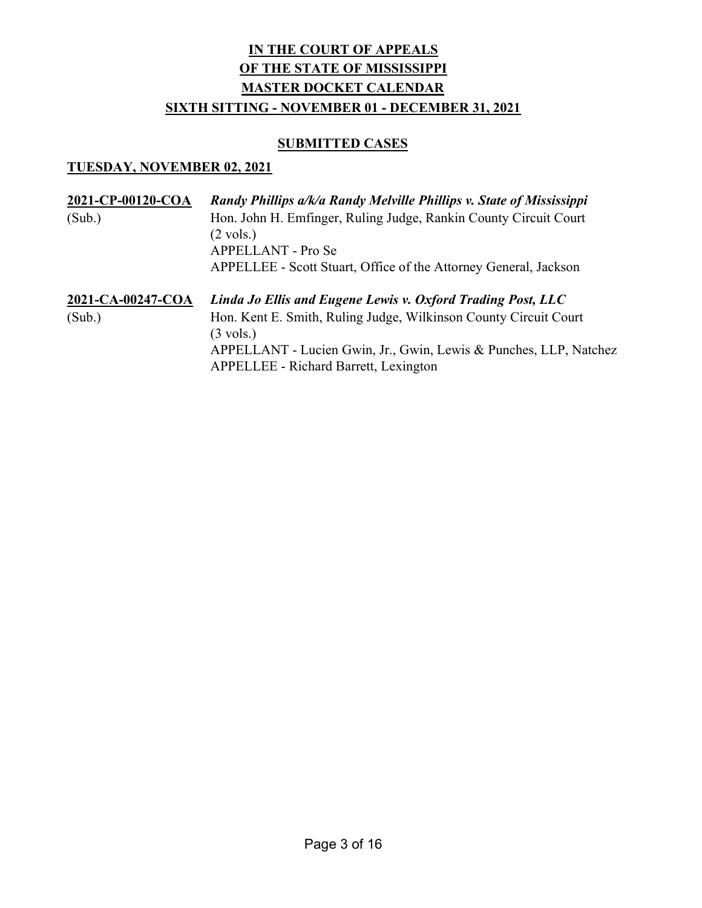#### **SUBMITTED CASES**

| 2021-CP-00120-COA<br>(Sub.) | Randy Phillips a/k/a Randy Melville Phillips v. State of Mississippi<br>Hon. John H. Emfinger, Ruling Judge, Rankin County Circuit Court<br>$(2 \text{ vols.})$<br>APPELLANT - Pro Se<br>APPELLEE - Scott Stuart, Office of the Attorney General, Jackson                   |
|-----------------------------|-----------------------------------------------------------------------------------------------------------------------------------------------------------------------------------------------------------------------------------------------------------------------------|
| 2021-CA-00247-COA<br>(Sub.) | Linda Jo Ellis and Eugene Lewis v. Oxford Trading Post, LLC<br>Hon. Kent E. Smith, Ruling Judge, Wilkinson County Circuit Court<br>$(3 \text{ vols.})$<br>APPELLANT - Lucien Gwin, Jr., Gwin, Lewis & Punches, LLP, Natchez<br><b>APPELLEE - Richard Barrett, Lexington</b> |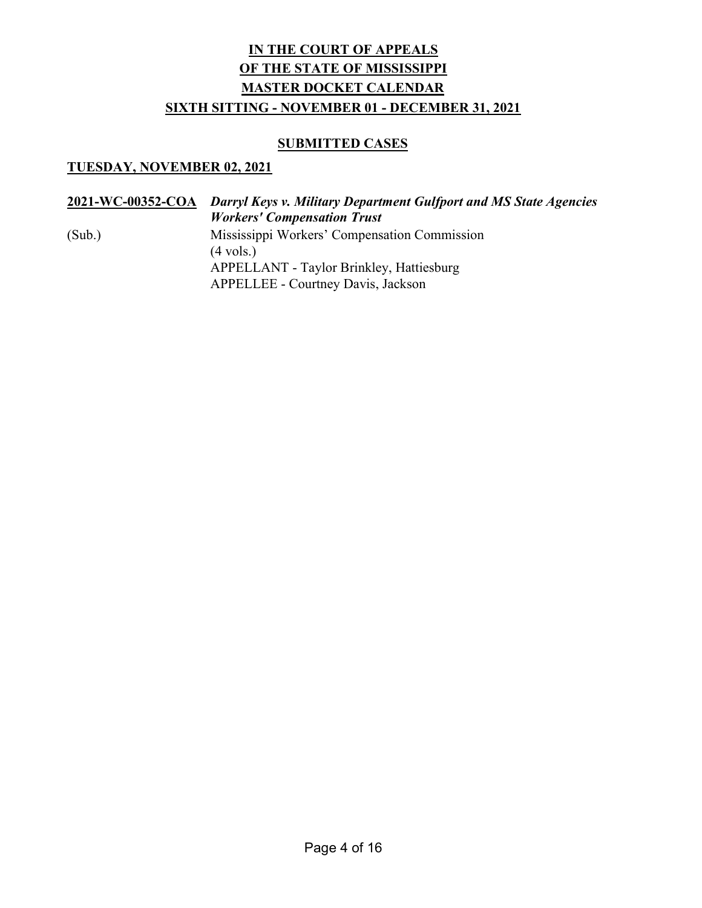#### **SUBMITTED CASES**

|        | 2021-WC-00352-COA Darryl Keys v. Military Department Gulfport and MS State Agencies<br><b>Workers' Compensation Trust</b> |
|--------|---------------------------------------------------------------------------------------------------------------------------|
| (Sub.) | Mississippi Workers' Compensation Commission<br>$(4 \text{ vols.})$                                                       |
|        | <b>APPELLANT - Taylor Brinkley, Hattiesburg</b><br><b>APPELLEE - Courtney Davis, Jackson</b>                              |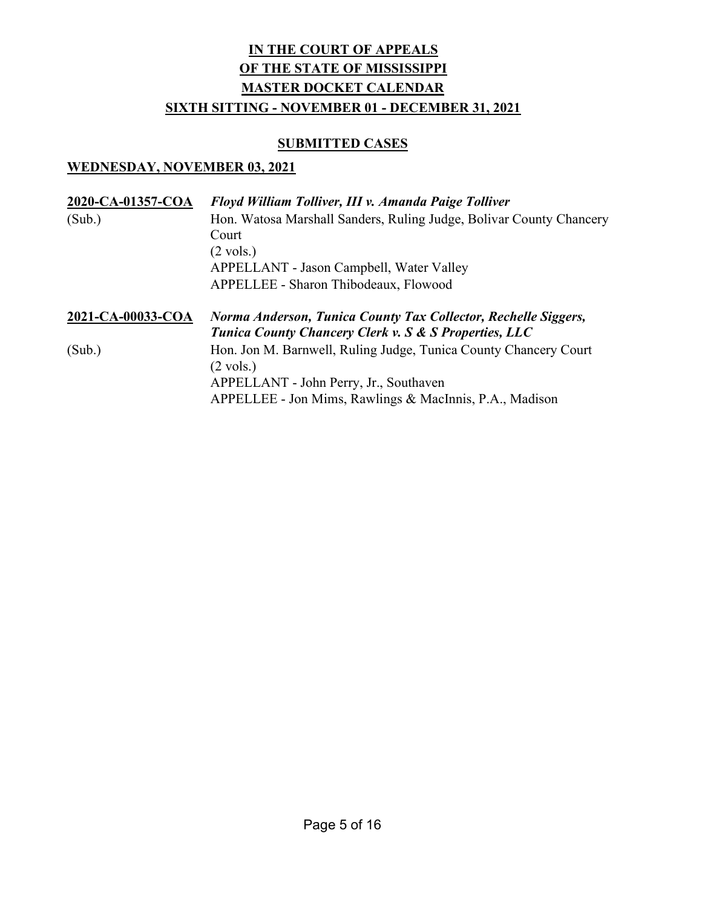#### **SUBMITTED CASES**

| 2020-CA-01357-COA | Floyd William Tolliver, III v. Amanda Paige Tolliver                                                                    |
|-------------------|-------------------------------------------------------------------------------------------------------------------------|
| (Sub.)            | Hon. Watosa Marshall Sanders, Ruling Judge, Bolivar County Chancery                                                     |
|                   | Court                                                                                                                   |
|                   | $(2 \text{ vols.})$                                                                                                     |
|                   | APPELLANT - Jason Campbell, Water Valley                                                                                |
|                   | APPELLEE - Sharon Thibodeaux, Flowood                                                                                   |
| 2021-CA-00033-COA | Norma Anderson, Tunica County Tax Collector, Rechelle Siggers,<br>Tunica County Chancery Clerk v. S & S Properties, LLC |
| (Sub.)            | Hon. Jon M. Barnwell, Ruling Judge, Tunica County Chancery Court                                                        |
|                   | $(2 \text{ vols.})$                                                                                                     |
|                   | APPELLANT - John Perry, Jr., Southaven                                                                                  |
|                   | APPELLEE - Jon Mims, Rawlings & MacInnis, P.A., Madison                                                                 |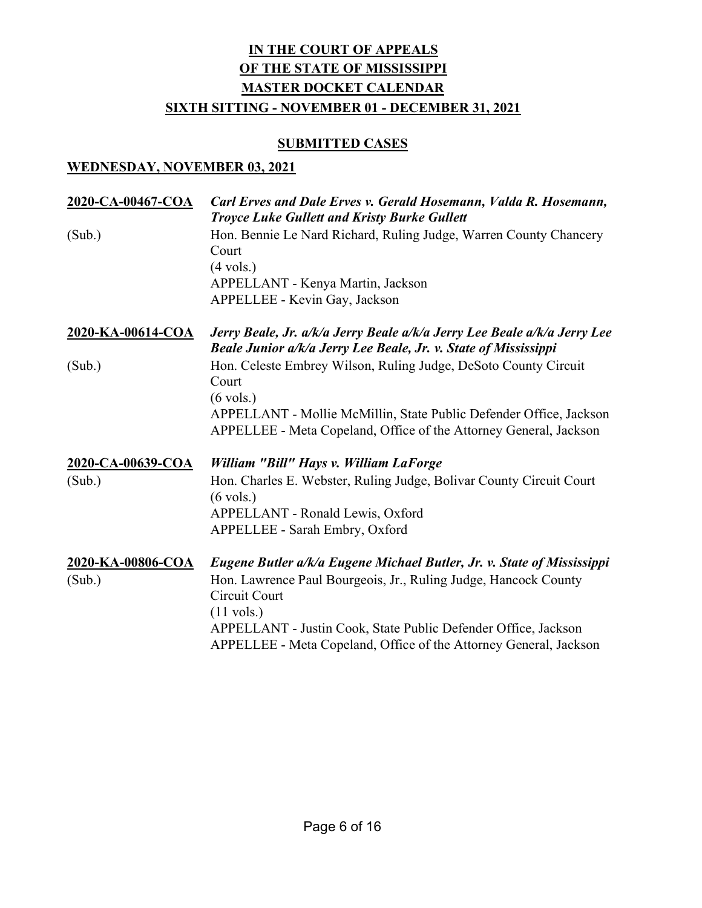### **SUBMITTED CASES**

| 2020-CA-00467-COA | Carl Erves and Dale Erves v. Gerald Hosemann, Valda R. Hosemann,<br><b>Troyce Luke Gullett and Kristy Burke Gullett</b>                                                                                                                         |
|-------------------|-------------------------------------------------------------------------------------------------------------------------------------------------------------------------------------------------------------------------------------------------|
| (Sub.)            | Hon. Bennie Le Nard Richard, Ruling Judge, Warren County Chancery<br>Court<br>$(4 \text{ vols.})$<br>APPELLANT - Kenya Martin, Jackson                                                                                                          |
| 2020-KA-00614-COA | APPELLEE - Kevin Gay, Jackson<br>Jerry Beale, Jr. a/k/a Jerry Beale a/k/a Jerry Lee Beale a/k/a Jerry Lee                                                                                                                                       |
|                   | Beale Junior a/k/a Jerry Lee Beale, Jr. v. State of Mississippi                                                                                                                                                                                 |
| (Sub.)            | Hon. Celeste Embrey Wilson, Ruling Judge, DeSoto County Circuit<br>Court                                                                                                                                                                        |
|                   | $(6 \text{ vols.})$<br>APPELLANT - Mollie McMillin, State Public Defender Office, Jackson<br>APPELLEE - Meta Copeland, Office of the Attorney General, Jackson                                                                                  |
| 2020-CA-00639-COA | William "Bill" Hays v. William LaForge                                                                                                                                                                                                          |
| (Sub.)            | Hon. Charles E. Webster, Ruling Judge, Bolivar County Circuit Court<br>$(6 \text{ vols.})$<br>APPELLANT - Ronald Lewis, Oxford<br>APPELLEE - Sarah Embry, Oxford                                                                                |
| 2020-KA-00806-COA | Eugene Butler a/k/a Eugene Michael Butler, Jr. v. State of Mississippi                                                                                                                                                                          |
| (Sub.)            | Hon. Lawrence Paul Bourgeois, Jr., Ruling Judge, Hancock County<br>Circuit Court<br>$(11 \text{ vols.})$<br>APPELLANT - Justin Cook, State Public Defender Office, Jackson<br>APPELLEE - Meta Copeland, Office of the Attorney General, Jackson |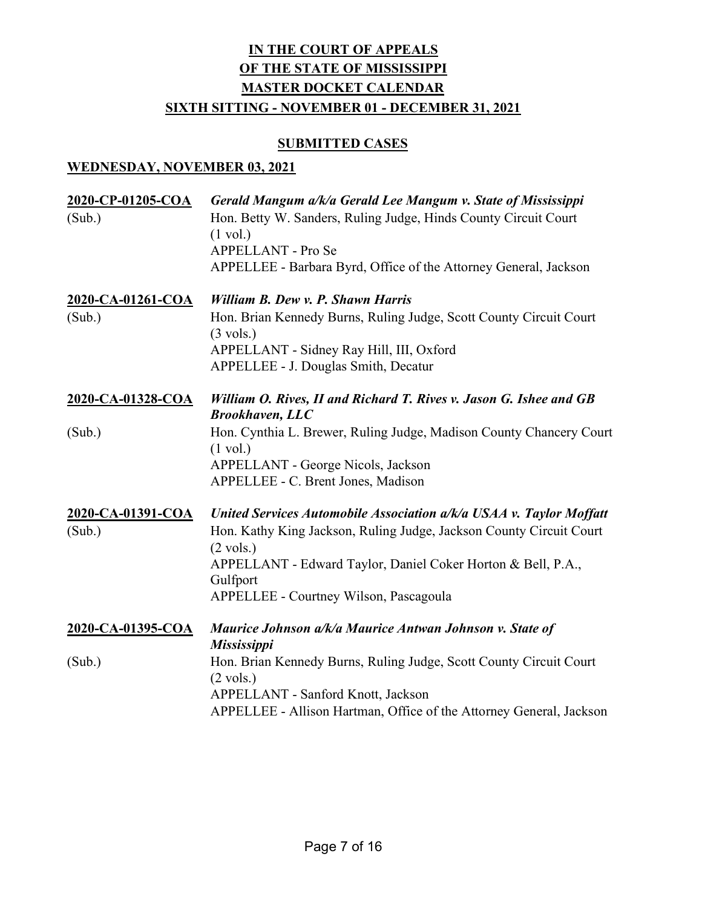#### SUBMITTED CASES

| 2020-CP-01205-COA<br>(Sub.) | Gerald Mangum a/k/a Gerald Lee Mangum v. State of Mississippi<br>Hon. Betty W. Sanders, Ruling Judge, Hinds County Circuit Court<br>$(1 \text{ vol.})$<br>APPELLANT - Pro Se<br>APPELLEE - Barbara Byrd, Office of the Attorney General, Jackson                                        |
|-----------------------------|-----------------------------------------------------------------------------------------------------------------------------------------------------------------------------------------------------------------------------------------------------------------------------------------|
| 2020-CA-01261-COA<br>(Sub.) | William B. Dew v. P. Shawn Harris<br>Hon. Brian Kennedy Burns, Ruling Judge, Scott County Circuit Court<br>$(3 \text{ vols.})$<br>APPELLANT - Sidney Ray Hill, III, Oxford<br>APPELLEE - J. Douglas Smith, Decatur                                                                      |
| 2020-CA-01328-COA           | William O. Rives, II and Richard T. Rives v. Jason G. Ishee and GB<br><b>Brookhaven, LLC</b>                                                                                                                                                                                            |
| (Sub.)                      | Hon. Cynthia L. Brewer, Ruling Judge, Madison County Chancery Court<br>$(1 \text{ vol.})$<br>APPELLANT - George Nicols, Jackson<br>APPELLEE - C. Brent Jones, Madison                                                                                                                   |
| 2020-CA-01391-COA<br>(Sub.) | United Services Automobile Association a/k/a USAA v. Taylor Moffatt<br>Hon. Kathy King Jackson, Ruling Judge, Jackson County Circuit Court<br>$(2 \text{ vols.})$<br>APPELLANT - Edward Taylor, Daniel Coker Horton & Bell, P.A.,<br>Gulfport<br>APPELLEE - Courtney Wilson, Pascagoula |
| 2020-CA-01395-COA           | Maurice Johnson a/k/a Maurice Antwan Johnson v. State of<br><b>Mississippi</b>                                                                                                                                                                                                          |
| (Sub.)                      | Hon. Brian Kennedy Burns, Ruling Judge, Scott County Circuit Court<br>$(2 \text{ vols.})$<br>APPELLANT - Sanford Knott, Jackson<br>APPELLEE - Allison Hartman, Office of the Attorney General, Jackson                                                                                  |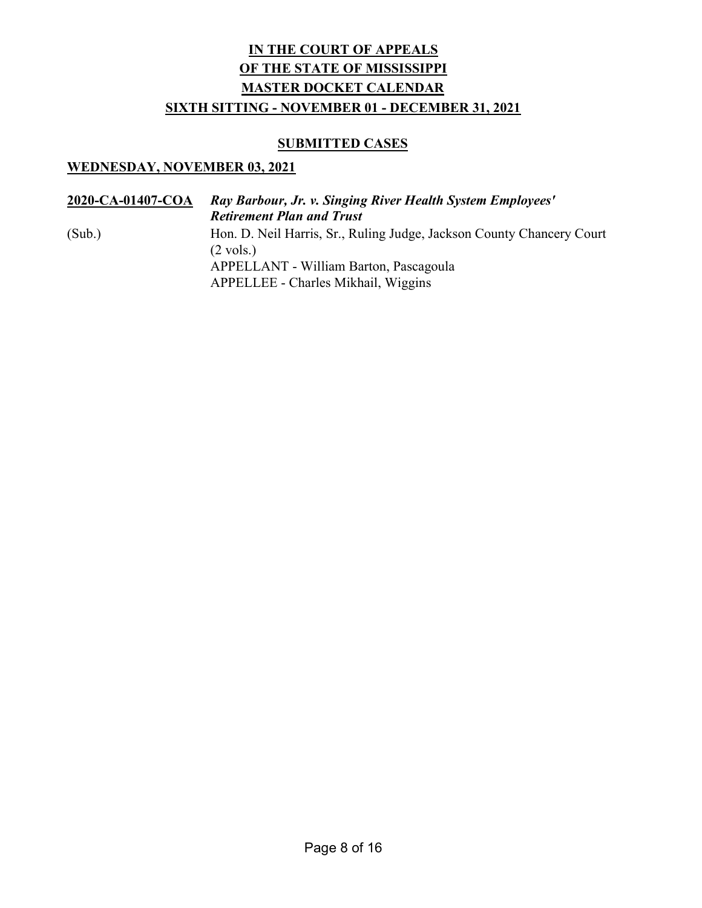#### **SUBMITTED CASES**

| 2020-CA-01407-COA | Ray Barbour, Jr. v. Singing River Health System Employees'<br><b>Retirement Plan and Trust</b> |
|-------------------|------------------------------------------------------------------------------------------------|
| (Sub.)            | Hon. D. Neil Harris, Sr., Ruling Judge, Jackson County Chancery Court<br>$(2 \text{ vols.})$   |
|                   | APPELLANT - William Barton, Pascagoula<br>APPELLEE - Charles Mikhail, Wiggins                  |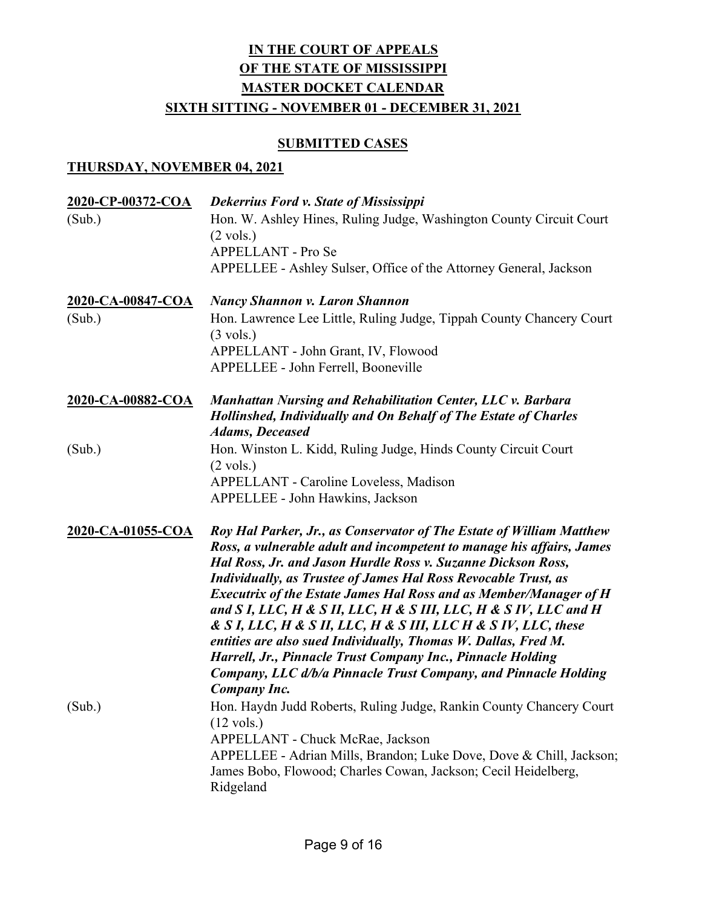#### **SUBMITTED CASES**

| 2020-CP-00372-COA | Dekerrius Ford v. State of Mississippi                                                                                                                                                                                                                                                                                                                                                                                                                                                                                                                                                                                                                                                                                              |
|-------------------|-------------------------------------------------------------------------------------------------------------------------------------------------------------------------------------------------------------------------------------------------------------------------------------------------------------------------------------------------------------------------------------------------------------------------------------------------------------------------------------------------------------------------------------------------------------------------------------------------------------------------------------------------------------------------------------------------------------------------------------|
| (Sub.)            | Hon. W. Ashley Hines, Ruling Judge, Washington County Circuit Court<br>$(2 \text{ vols.})$                                                                                                                                                                                                                                                                                                                                                                                                                                                                                                                                                                                                                                          |
|                   | APPELLANT - Pro Se                                                                                                                                                                                                                                                                                                                                                                                                                                                                                                                                                                                                                                                                                                                  |
|                   | APPELLEE - Ashley Sulser, Office of the Attorney General, Jackson                                                                                                                                                                                                                                                                                                                                                                                                                                                                                                                                                                                                                                                                   |
| 2020-CA-00847-COA | <b>Nancy Shannon v. Laron Shannon</b>                                                                                                                                                                                                                                                                                                                                                                                                                                                                                                                                                                                                                                                                                               |
| (Sub.)            | Hon. Lawrence Lee Little, Ruling Judge, Tippah County Chancery Court<br>$(3 \text{ vols.})$                                                                                                                                                                                                                                                                                                                                                                                                                                                                                                                                                                                                                                         |
|                   | APPELLANT - John Grant, IV, Flowood                                                                                                                                                                                                                                                                                                                                                                                                                                                                                                                                                                                                                                                                                                 |
|                   | APPELLEE - John Ferrell, Booneville                                                                                                                                                                                                                                                                                                                                                                                                                                                                                                                                                                                                                                                                                                 |
| 2020-CA-00882-COA | Manhattan Nursing and Rehabilitation Center, LLC v. Barbara<br><b>Hollinshed, Individually and On Behalf of The Estate of Charles</b><br><b>Adams, Deceased</b>                                                                                                                                                                                                                                                                                                                                                                                                                                                                                                                                                                     |
| (Sub.)            | Hon. Winston L. Kidd, Ruling Judge, Hinds County Circuit Court<br>$(2 \text{ vols.})$                                                                                                                                                                                                                                                                                                                                                                                                                                                                                                                                                                                                                                               |
|                   | <b>APPELLANT - Caroline Loveless, Madison</b>                                                                                                                                                                                                                                                                                                                                                                                                                                                                                                                                                                                                                                                                                       |
|                   | APPELLEE - John Hawkins, Jackson                                                                                                                                                                                                                                                                                                                                                                                                                                                                                                                                                                                                                                                                                                    |
| 2020-CA-01055-COA | Roy Hal Parker, Jr., as Conservator of The Estate of William Matthew<br>Ross, a vulnerable adult and incompetent to manage his affairs, James<br>Hal Ross, Jr. and Jason Hurdle Ross v. Suzanne Dickson Ross,<br><b>Individually, as Trustee of James Hal Ross Revocable Trust, as</b><br><b>Executrix of the Estate James Hal Ross and as Member/Manager of H</b><br>and S I, LLC, H & S II, LLC, H & S III, LLC, H & S IV, LLC and H<br>& S I, LLC, H & S II, LLC, H & S III, LLC H & S IV, LLC, these<br>entities are also sued Individually, Thomas W. Dallas, Fred M.<br>Harrell, Jr., Pinnacle Trust Company Inc., Pinnacle Holding<br>Company, LLC d/b/a Pinnacle Trust Company, and Pinnacle Holding<br><b>Company Inc.</b> |
| (Sub.)            | Hon. Haydn Judd Roberts, Ruling Judge, Rankin County Chancery Court<br>$(12 \text{ vols.})$<br>APPELLANT - Chuck McRae, Jackson<br>APPELLEE - Adrian Mills, Brandon; Luke Dove, Dove & Chill, Jackson;<br>James Bobo, Flowood; Charles Cowan, Jackson; Cecil Heidelberg,<br>Ridgeland                                                                                                                                                                                                                                                                                                                                                                                                                                               |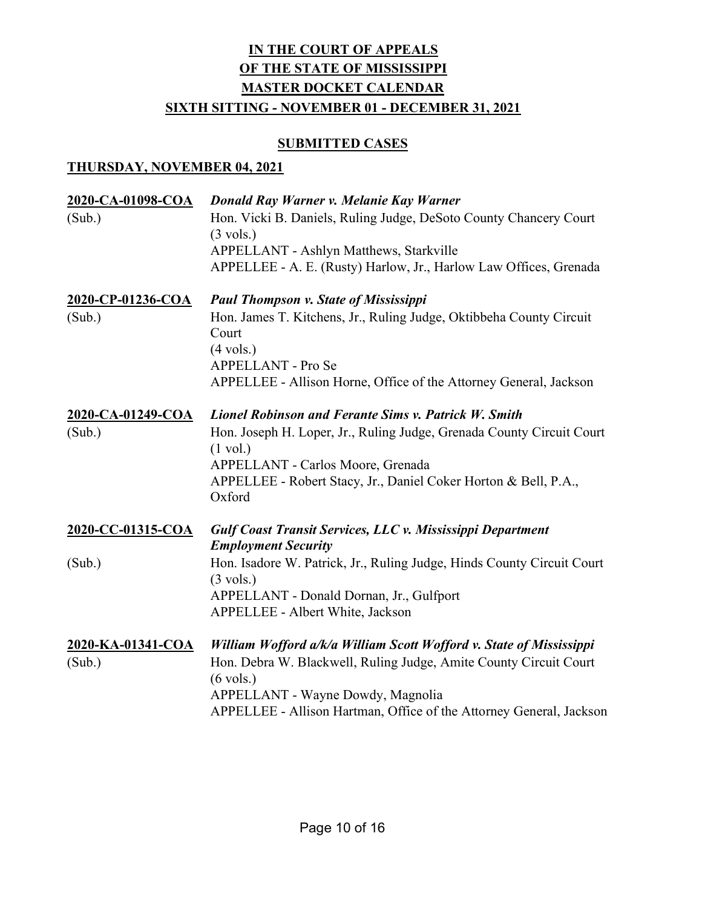### **SUBMITTED CASES**

| 2020-CA-01098-COA<br>(Sub.) | Donald Ray Warner v. Melanie Kay Warner<br>Hon. Vicki B. Daniels, Ruling Judge, DeSoto County Chancery Court<br>$(3 \text{ vols.})$<br>APPELLANT - Ashlyn Matthews, Starkville<br>APPELLEE - A. E. (Rusty) Harlow, Jr., Harlow Law Offices, Grenada                         |
|-----------------------------|-----------------------------------------------------------------------------------------------------------------------------------------------------------------------------------------------------------------------------------------------------------------------------|
| 2020-CP-01236-COA           | <b>Paul Thompson v. State of Mississippi</b>                                                                                                                                                                                                                                |
| (Sub.)                      | Hon. James T. Kitchens, Jr., Ruling Judge, Oktibbeha County Circuit<br>Court<br>$(4 \text{ vols.})$<br>APPELLANT - Pro Se                                                                                                                                                   |
|                             | APPELLEE - Allison Horne, Office of the Attorney General, Jackson                                                                                                                                                                                                           |
| 2020-CA-01249-COA           | <b>Lionel Robinson and Ferante Sims v. Patrick W. Smith</b>                                                                                                                                                                                                                 |
| (Sub.)                      | Hon. Joseph H. Loper, Jr., Ruling Judge, Grenada County Circuit Court<br>$(1 \text{ vol.})$<br>APPELLANT - Carlos Moore, Grenada<br>APPELLEE - Robert Stacy, Jr., Daniel Coker Horton & Bell, P.A.,<br>Oxford                                                               |
| 2020-CC-01315-COA           | Gulf Coast Transit Services, LLC v. Mississippi Department<br><b>Employment Security</b>                                                                                                                                                                                    |
| (Sub.)                      | Hon. Isadore W. Patrick, Jr., Ruling Judge, Hinds County Circuit Court<br>$(3 \text{ vols.})$<br>APPELLANT - Donald Dornan, Jr., Gulfport<br><b>APPELLEE - Albert White, Jackson</b>                                                                                        |
| 2020-KA-01341-COA<br>(Sub.) | William Wofford a/k/a William Scott Wofford v. State of Mississippi<br>Hon. Debra W. Blackwell, Ruling Judge, Amite County Circuit Court<br>$(6 \text{ vols.})$<br>APPELLANT - Wayne Dowdy, Magnolia<br>APPELLEE - Allison Hartman, Office of the Attorney General, Jackson |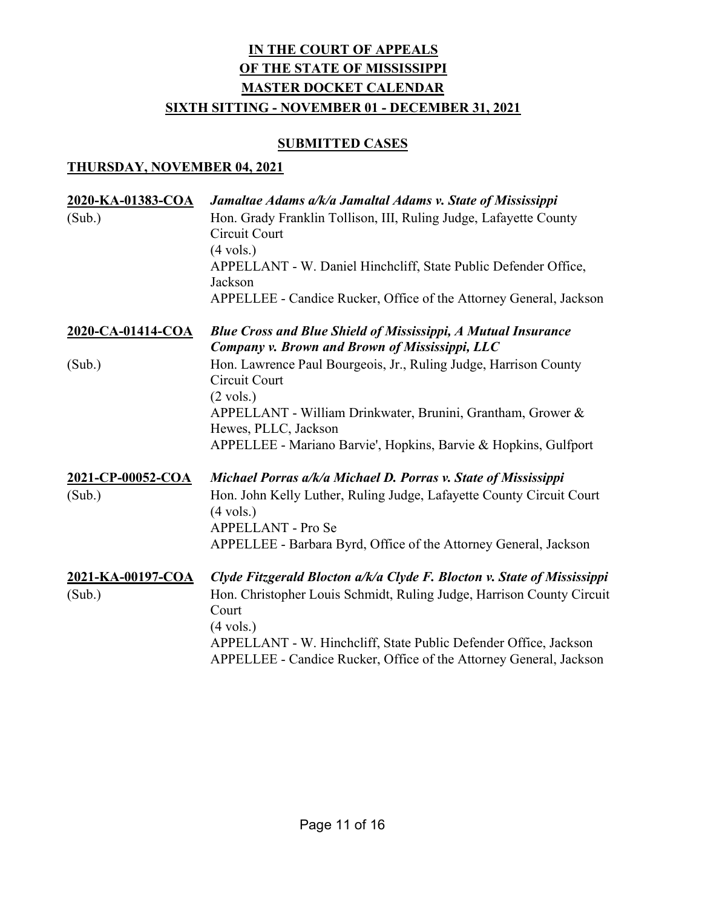### **SUBMITTED CASES**

| 2020-KA-01383-COA | Jamaltae Adams a/k/a Jamaltal Adams v. State of Mississippi                                                                            |
|-------------------|----------------------------------------------------------------------------------------------------------------------------------------|
| (Sub.)            | Hon. Grady Franklin Tollison, III, Ruling Judge, Lafayette County<br>Circuit Court                                                     |
|                   | $(4 \text{ vols.})$                                                                                                                    |
|                   | APPELLANT - W. Daniel Hinchcliff, State Public Defender Office,<br>Jackson                                                             |
|                   | APPELLEE - Candice Rucker, Office of the Attorney General, Jackson                                                                     |
| 2020-CA-01414-COA | <b>Blue Cross and Blue Shield of Mississippi, A Mutual Insurance</b><br>Company v. Brown and Brown of Mississippi, LLC                 |
| (Sub.)            | Hon. Lawrence Paul Bourgeois, Jr., Ruling Judge, Harrison County<br>Circuit Court                                                      |
|                   | $(2 \text{ vols.})$                                                                                                                    |
|                   | APPELLANT - William Drinkwater, Brunini, Grantham, Grower &<br>Hewes, PLLC, Jackson                                                    |
|                   | APPELLEE - Mariano Barvie', Hopkins, Barvie & Hopkins, Gulfport                                                                        |
| 2021-CP-00052-COA | Michael Porras a/k/a Michael D. Porras v. State of Mississippi                                                                         |
| (Sub.)            | Hon. John Kelly Luther, Ruling Judge, Lafayette County Circuit Court<br>$(4 \text{ vols.})$                                            |
|                   | <b>APPELLANT - Pro Se</b>                                                                                                              |
|                   | APPELLEE - Barbara Byrd, Office of the Attorney General, Jackson                                                                       |
| 2021-KA-00197-COA | Clyde Fitzgerald Blocton a/k/a Clyde F. Blocton v. State of Mississippi                                                                |
| (Sub.)            | Hon. Christopher Louis Schmidt, Ruling Judge, Harrison County Circuit<br>Court                                                         |
|                   | $(4 \text{ vols.})$                                                                                                                    |
|                   | APPELLANT - W. Hinchcliff, State Public Defender Office, Jackson<br>APPELLEE - Candice Rucker, Office of the Attorney General, Jackson |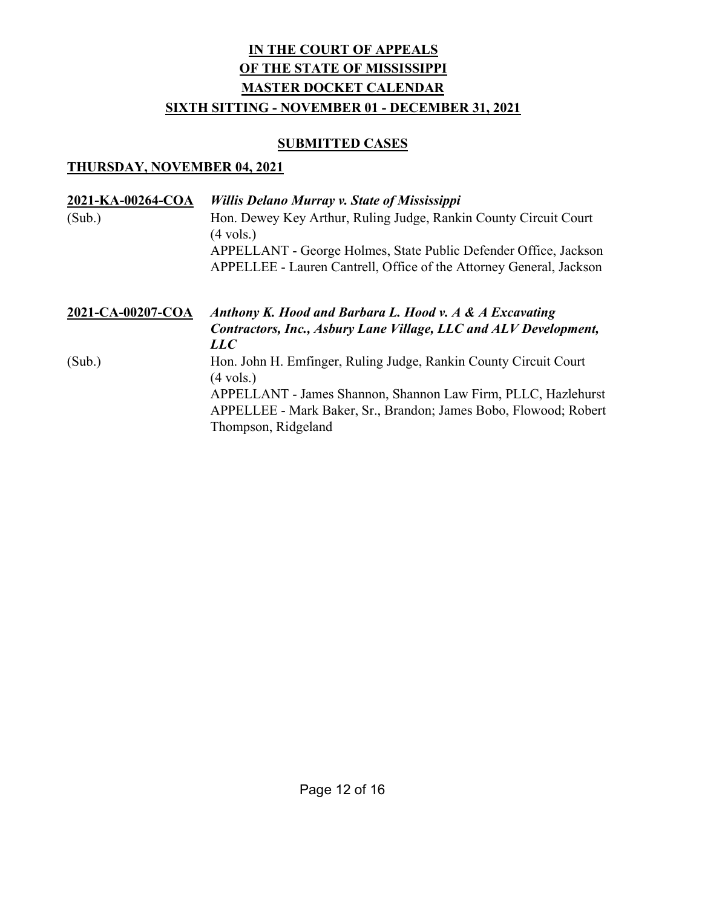### **SUBMITTED CASES**

| 2021-KA-00264-COA<br>(Sub.) | <b>Willis Delano Murray v. State of Mississippi</b><br>Hon. Dewey Key Arthur, Ruling Judge, Rankin County Circuit Court<br>$(4 \text{ vols.})$<br>APPELLANT - George Holmes, State Public Defender Office, Jackson<br>APPELLEE - Lauren Cantrell, Office of the Attorney General, Jackson |
|-----------------------------|-------------------------------------------------------------------------------------------------------------------------------------------------------------------------------------------------------------------------------------------------------------------------------------------|
| 2021-CA-00207-COA           | Anthony K. Hood and Barbara L. Hood v. A & A Excavating<br>Contractors, Inc., Asbury Lane Village, LLC and ALV Development,<br>LLC                                                                                                                                                        |
| (Sub.)                      | Hon. John H. Emfinger, Ruling Judge, Rankin County Circuit Court<br>$(4 \text{ vols.})$<br>APPELLANT - James Shannon, Shannon Law Firm, PLLC, Hazlehurst<br>APPELLEE - Mark Baker, Sr., Brandon; James Bobo, Flowood; Robert<br>Thompson, Ridgeland                                       |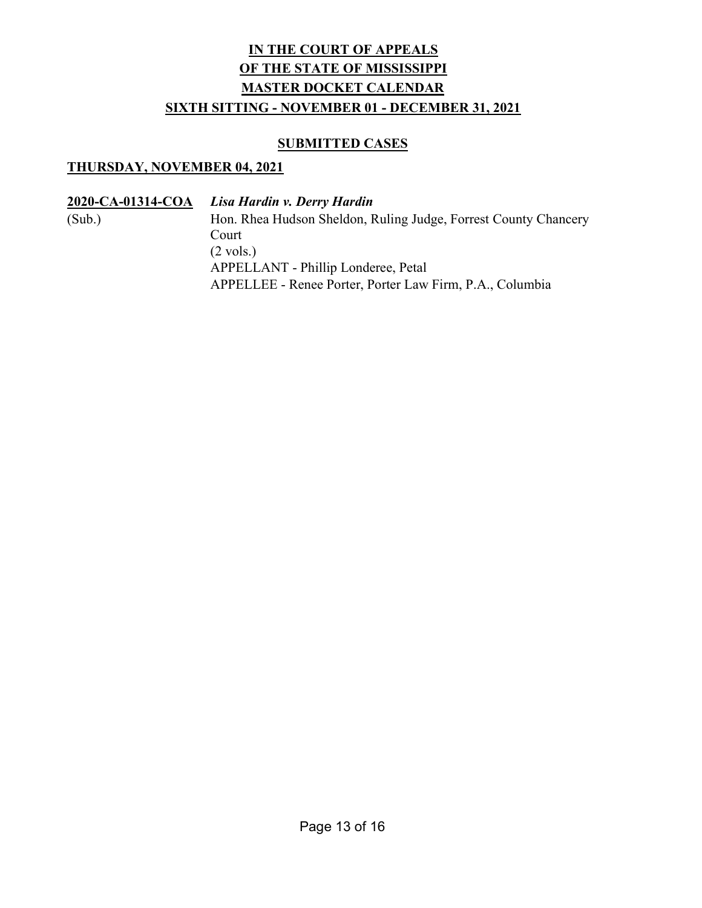### SUBMITTED CASES

### THURSDAY, NOVEMBER 04, 2021

2020-CA-01314-COA Lisa Hardin v. Derry Hardin (Sub.) Hon. Rhea Hudson Sheldon, Ruling Judge, Forrest County Chancery Court (2 vols.) APPELLANT - Phillip Londeree, Petal APPELLEE - Renee Porter, Porter Law Firm, P.A., Columbia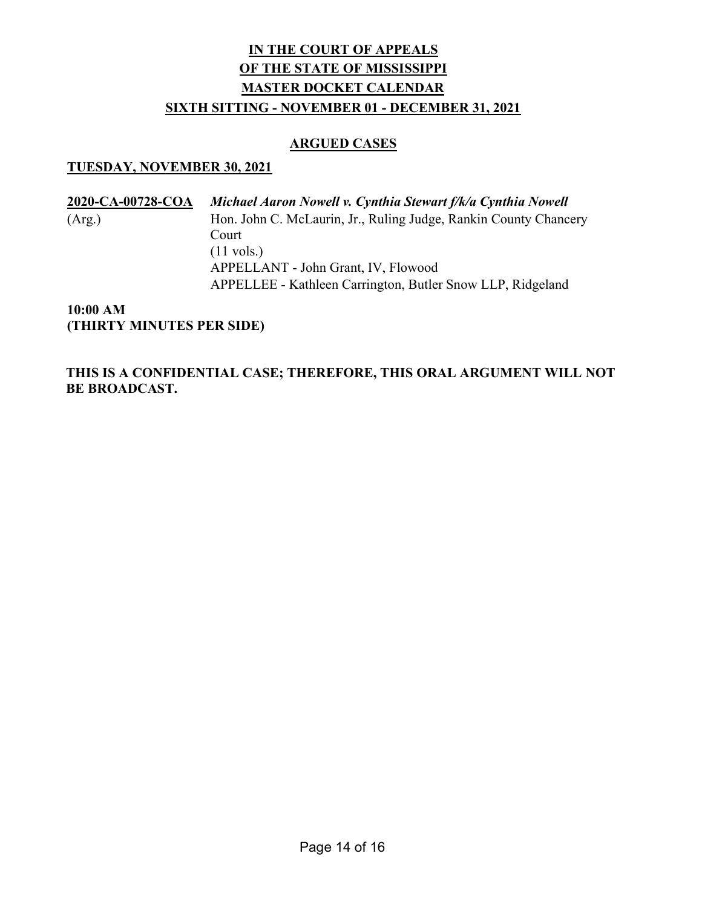#### ARGUED CASES

#### TUESDAY, NOVEMBER 30, 2021

2020-CA-00728-COA Michael Aaron Nowell v. Cynthia Stewart f/k/a Cynthia Nowell (Arg.) Hon. John C. McLaurin, Jr., Ruling Judge, Rankin County Chancery Court (11 vols.) APPELLANT - John Grant, IV, Flowood APPELLEE - Kathleen Carrington, Butler Snow LLP, Ridgeland

10:00 AM (THIRTY MINUTES PER SIDE)

THIS IS A CONFIDENTIAL CASE; THEREFORE, THIS ORAL ARGUMENT WILL NOT BE BROADCAST.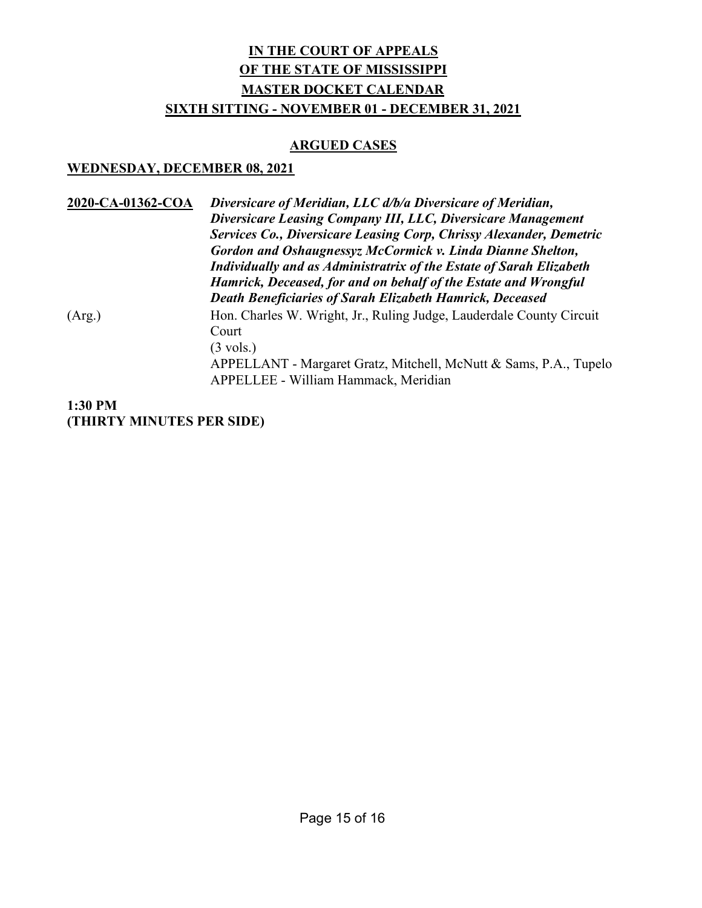## ARGUED CASES

## WEDNESDAY, DECEMBER 08, 2021

| 2020-CA-01362-COA | Diversicare of Meridian, LLC d/b/a Diversicare of Meridian,<br>Diversicare Leasing Company III, LLC, Diversicare Management<br>Services Co., Diversicare Leasing Corp, Chrissy Alexander, Demetric<br>Gordon and Oshaugnessyz McCormick v. Linda Dianne Shelton,<br><b>Individually and as Administratrix of the Estate of Sarah Elizabeth</b><br>Hamrick, Deceased, for and on behalf of the Estate and Wrongful<br><b>Death Beneficiaries of Sarah Elizabeth Hamrick, Deceased</b> |
|-------------------|--------------------------------------------------------------------------------------------------------------------------------------------------------------------------------------------------------------------------------------------------------------------------------------------------------------------------------------------------------------------------------------------------------------------------------------------------------------------------------------|
| (Arg.)            | Hon. Charles W. Wright, Jr., Ruling Judge, Lauderdale County Circuit<br>Court<br>$(3 \text{ vols.})$<br>APPELLANT - Margaret Gratz, Mitchell, McNutt & Sams, P.A., Tupelo<br>APPELLEE - William Hammack, Meridian                                                                                                                                                                                                                                                                    |

1:30 PM (THIRTY MINUTES PER SIDE)